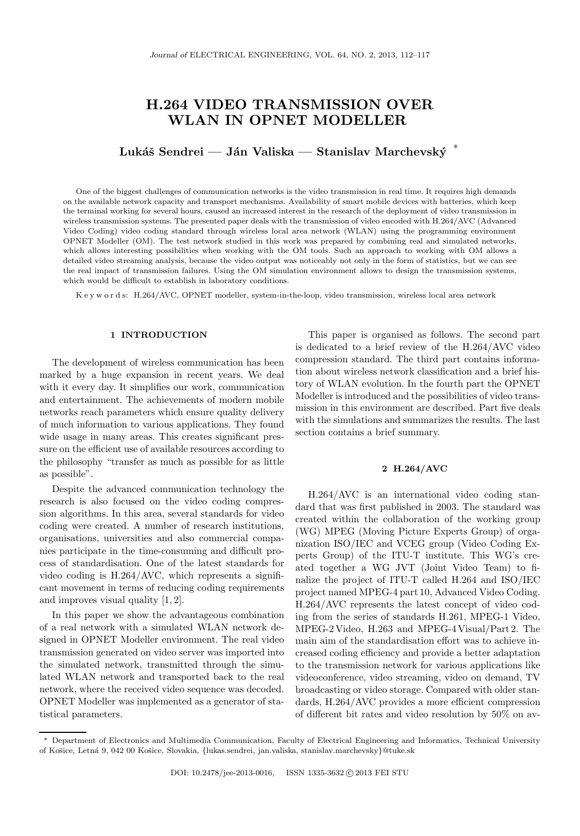# H.264 VIDEO TRANSMISSION OVER WLAN IN OPNET MODELLER

# Lukáš Sendrei — Ján Valiska — Stanislav Marchevský  $*$

One of the biggest challenges of communication networks is the video transmission in real time. It requires high demands on the available network capacity and transport mechanisms. Availability of smart mobile devices with batteries, which keep the terminal working for several hours, caused an increased interest in the research of the deployment of video transmission in wireless transmission systems. The presented paper deals with the transmission of video encoded with H.264/AVC (Advanced Video Coding) video coding standard through wireless local area network (WLAN) using the programming environment OPNET Modeller (OM). The test network studied in this work was prepared by combining real and simulated networks, which allows interesting possibilities when working with the OM tools. Such an approach to working with OM allows a detailed video streaming analysis, because the video output was noticeably not only in the form of statistics, but we can see the real impact of transmission failures. Using the OM simulation environment allows to design the transmission systems, which would be difficult to establish in laboratory conditions.

K e y w o r d s: H.264/AVC, OPNET modeller, system-in-the-loop, video transmission, wireless local area network

## 1 INTRODUCTION

The development of wireless communication has been marked by a huge expansion in recent years. We deal with it every day. It simplifies our work, communication and entertainment. The achievements of modern mobile networks reach parameters which ensure quality delivery of much information to various applications. They found wide usage in many areas. This creates significant pressure on the efficient use of available resources according to the philosophy "transfer as much as possible for as little as possible".

Despite the advanced communication technology the research is also focused on the video coding compression algorithms. In this area, several standards for video coding were created. A number of research institutions, organisations, universities and also commercial companies participate in the time-consuming and difficult process of standardisation. One of the latest standards for video coding is H.264/AVC, which represents a significant movement in terms of reducing coding requirements and improves visual quality [1, 2].

In this paper we show the advantageous combination of a real network with a simulated WLAN network designed in OPNET Modeller environment. The real video transmission generated on video server was imported into the simulated network, transmitted through the simulated WLAN network and transported back to the real network, where the received video sequence was decoded. OPNET Modeller was implemented as a generator of statistical parameters.

This paper is organised as follows. The second part is dedicated to a brief review of the H.264/AVC video compression standard. The third part contains information about wireless network classification and a brief history of WLAN evolution. In the fourth part the OPNET Modeller is introduced and the possibilities of video transmission in this environment are described. Part five deals with the simulations and summarizes the results. The last section contains a brief summary.

## 2 H.264/AVC

H.264/AVC is an international video coding standard that was first published in 2003. The standard was created within the collaboration of the working group (WG) MPEG (Moving Picture Experts Group) of organization ISO/IEC and VCEG group (Video Coding Experts Group) of the ITU-T institute. This WG's created together a WG JVT (Joint Video Team) to finalize the project of ITU-T called H.264 and ISO/IEC project named MPEG-4 part 10, Advanced Video Coding. H.264/AVC represents the latest concept of video coding from the series of standards H.261, MPEG-1 Video, MPEG-2 Video, H.263 and MPEG-4 Visual/Part 2. The main aim of the standardisation effort was to achieve increased coding efficiency and provide a better adaptation to the transmission network for various applications like videoconference, video streaming, video on demand, TV broadcasting or video storage. Compared with older standards, H.264/AVC provides a more efficient compression of different bit rates and video resolution by 50% on av-

<sup>∗</sup> Department of Electronics and Multimedia Communication, Faculty of Electrical Engineering and Informatics, Technical University of Košice, Letná 9, 042 00 Košice, Slovakia, {lukas.sendrei, jan.valiska, stanislav.marchevsky}@tuke.sk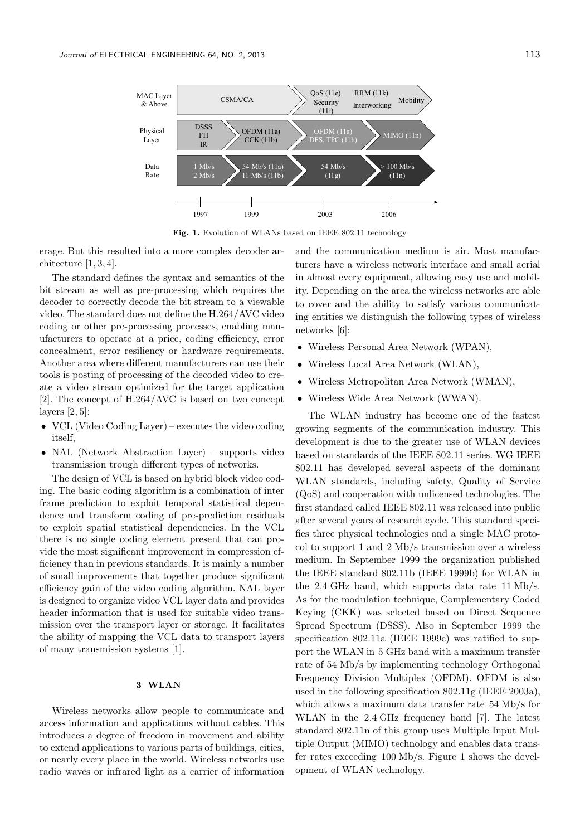

Fig. 1. Evolution of WLANs based on IEEE 802.11 technology

erage. But this resulted into a more complex decoder architecture [1, 3, 4].

The standard defines the syntax and semantics of the bit stream as well as pre-processing which requires the decoder to correctly decode the bit stream to a viewable video. The standard does not define the H.264/AVC video coding or other pre-processing processes, enabling manufacturers to operate at a price, coding efficiency, error concealment, error resiliency or hardware requirements. Another area where different manufacturers can use their tools is posting of processing of the decoded video to create a video stream optimized for the target application [2]. The concept of H.264/AVC is based on two concept layers  $[2, 5]$ :

- VCL (Video Coding Layer) executes the video coding itself,
- NAL (Network Abstraction Layer) supports video transmission trough different types of networks.

The design of VCL is based on hybrid block video coding. The basic coding algorithm is a combination of inter frame prediction to exploit temporal statistical dependence and transform coding of pre-prediction residuals to exploit spatial statistical dependencies. In the VCL there is no single coding element present that can provide the most significant improvement in compression efficiency than in previous standards. It is mainly a number of small improvements that together produce significant efficiency gain of the video coding algorithm. NAL layer is designed to organize video VCL layer data and provides header information that is used for suitable video transmission over the transport layer or storage. It facilitates the ability of mapping the VCL data to transport layers of many transmission systems [1].

## 3 WLAN

Wireless networks allow people to communicate and access information and applications without cables. This introduces a degree of freedom in movement and ability to extend applications to various parts of buildings, cities, or nearly every place in the world. Wireless networks use radio waves or infrared light as a carrier of information

and the communication medium is air. Most manufacturers have a wireless network interface and small aerial in almost every equipment, allowing easy use and mobility. Depending on the area the wireless networks are able to cover and the ability to satisfy various communicating entities we distinguish the following types of wireless networks [6]:

- Wireless Personal Area Network (WPAN),
- Wireless Local Area Network (WLAN),
- Wireless Metropolitan Area Network (WMAN),
- Wireless Wide Area Network (WWAN).

The WLAN industry has become one of the fastest growing segments of the communication industry. This development is due to the greater use of WLAN devices based on standards of the IEEE 802.11 series. WG IEEE 802.11 has developed several aspects of the dominant WLAN standards, including safety, Quality of Service (QoS) and cooperation with unlicensed technologies. The first standard called IEEE 802.11 was released into public after several years of research cycle. This standard specifies three physical technologies and a single MAC protocol to support 1 and 2 Mb/s transmission over a wireless medium. In September 1999 the organization published the IEEE standard 802.11b (IEEE 1999b) for WLAN in the 2.4 GHz band, which supports data rate 11 Mb/s. As for the modulation technique, Complementary Coded Keying (CKK) was selected based on Direct Sequence Spread Spectrum (DSSS). Also in September 1999 the specification 802.11a (IEEE 1999c) was ratified to support the WLAN in 5 GHz band with a maximum transfer rate of 54 Mb/s by implementing technology Orthogonal Frequency Division Multiplex (OFDM). OFDM is also used in the following specification 802.11g (IEEE 2003a), which allows a maximum data transfer rate 54 Mb/s for WLAN in the 2.4 GHz frequency band [7]. The latest standard 802.11n of this group uses Multiple Input Multiple Output (MIMO) technology and enables data transfer rates exceeding 100 Mb/s. Figure 1 shows the development of WLAN technology.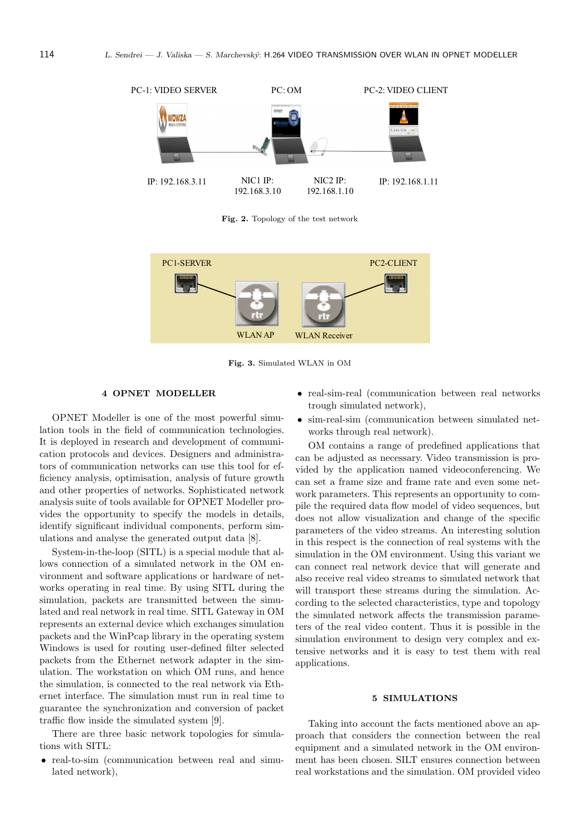

Fig. 2. Topology of the test network



Fig. 3. Simulated WLAN in OM

## 4 OPNET MODELLER

OPNET Modeller is one of the most powerful simulation tools in the field of communication technologies. It is deployed in research and development of communication protocols and devices. Designers and administrators of communication networks can use this tool for efficiency analysis, optimisation, analysis of future growth and other properties of networks. Sophisticated network analysis suite of tools available for OPNET Modeller provides the opportunity to specify the models in details, identify significant individual components, perform simulations and analyse the generated output data [8].

System-in-the-loop (SITL) is a special module that allows connection of a simulated network in the OM environment and software applications or hardware of networks operating in real time. By using SITL during the simulation, packets are transmitted between the simulated and real network in real time. SITL Gateway in OM represents an external device which exchanges simulation packets and the WinPcap library in the operating system Windows is used for routing user-defined filter selected packets from the Ethernet network adapter in the simulation. The workstation on which OM runs, and hence the simulation, is connected to the real network via Ethernet interface. The simulation must run in real time to guarantee the synchronization and conversion of packet traffic flow inside the simulated system [9].

There are three basic network topologies for simulations with SITL:

• real-to-sim (communication between real and simulated network),

- real-sim-real (communication between real networks trough simulated network),
- sim-real-sim (communication between simulated networks through real network).

OM contains a range of predefined applications that can be adjusted as necessary. Video transmission is provided by the application named videoconferencing. We can set a frame size and frame rate and even some network parameters. This represents an opportunity to compile the required data flow model of video sequences, but does not allow visualization and change of the specific parameters of the video streams. An interesting solution in this respect is the connection of real systems with the simulation in the OM environment. Using this variant we can connect real network device that will generate and also receive real video streams to simulated network that will transport these streams during the simulation. According to the selected characteristics, type and topology the simulated network affects the transmission parameters of the real video content. Thus it is possible in the simulation environment to design very complex and extensive networks and it is easy to test them with real applications.

#### 5 SIMULATIONS

Taking into account the facts mentioned above an approach that considers the connection between the real equipment and a simulated network in the OM environment has been chosen. SILT ensures connection between real workstations and the simulation. OM provided video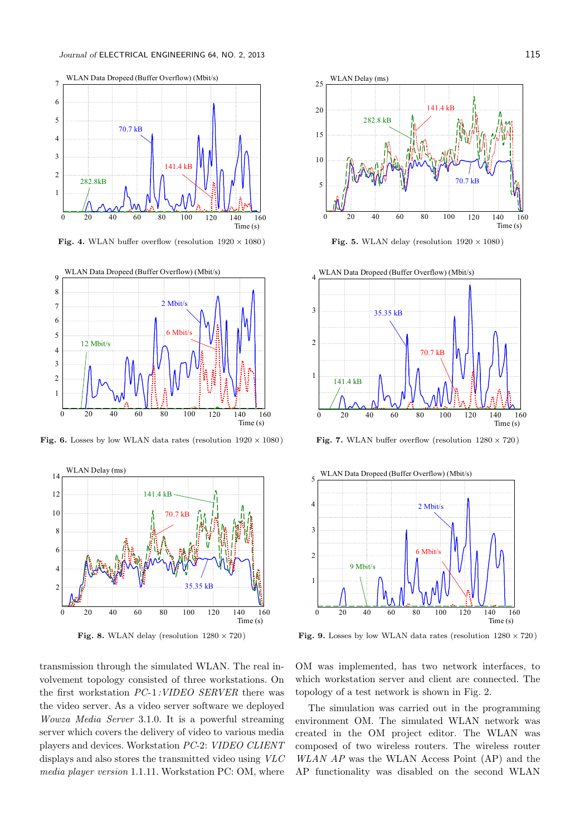

Fig. 4. WLAN buffer overflow (resolution  $1920 \times 1080$ )



Fig. 6. Losses by low WLAN data rates (resolution  $1920 \times 1080$ )



Fig. 8. WLAN delay (resolution  $1280 \times 720$ )

transmission through the simulated WLAN. The real involvement topology consisted of three workstations. On the first workstation PC-1:VIDEO SERVER there was the video server. As a video server software we deployed Wowza Media Server 3.1.0. It is a powerful streaming server which covers the delivery of video to various media players and devices. Workstation PC-2: VIDEO CLIENT displays and also stores the transmitted video using VLC media player version 1.1.11. Workstation PC: OM, where



Fig. 5. WLAN delay (resolution  $1920 \times 1080$ )



Fig. 7. WLAN buffer overflow (resolution  $1280 \times 720$ )



Fig. 9. Losses by low WLAN data rates (resolution  $1280 \times 720$ )

OM was implemented, has two network interfaces, to which workstation server and client are connected. The topology of a test network is shown in Fig. 2.

The simulation was carried out in the programming environment OM. The simulated WLAN network was created in the OM project editor. The WLAN was composed of two wireless routers. The wireless router WLAN AP was the WLAN Access Point (AP) and the AP functionality was disabled on the second WLAN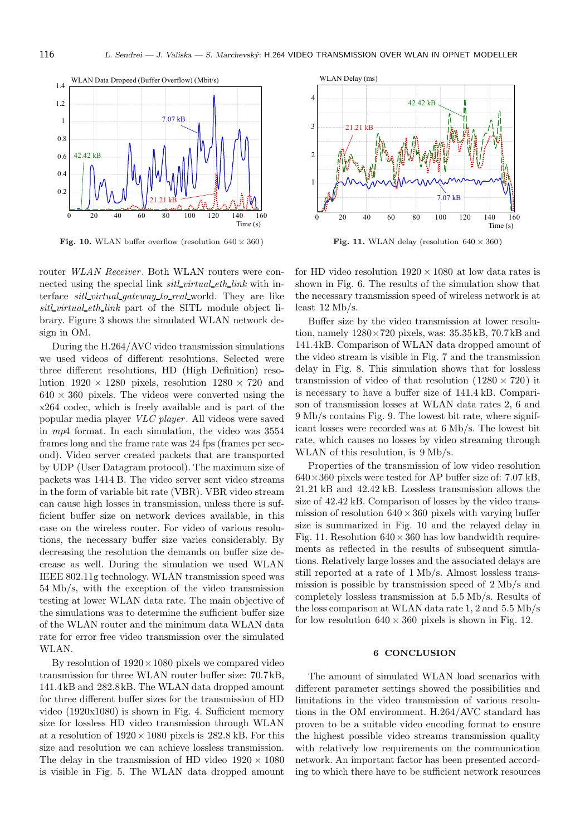

Fig. 10. WLAN buffer overflow (resolution  $640 \times 360$ )

router *WLAN Receiver*. Both WLAN routers were connected using the special link *sitl\_virtual\_eth\_link* with interface sitl virtual gateway to real world. They are like sitl virtual eth link part of the SITL module object library. Figure 3 shows the simulated WLAN network design in OM.

During the H.264/AVC video transmission simulations we used videos of different resolutions. Selected were three different resolutions, HD (High Definition) resolution  $1920 \times 1280$  pixels, resolution  $1280 \times 720$  and  $640 \times 360$  pixels. The videos were converted using the x264 codec, which is freely available and is part of the popular media player VLC player . All videos were saved in mp4 format. In each simulation, the video was 3554 frames long and the frame rate was 24 fps (frames per second). Video server created packets that are transported by UDP (User Datagram protocol). The maximum size of packets was 1414 B. The video server sent video streams in the form of variable bit rate (VBR). VBR video stream can cause high losses in transmission, unless there is sufficient buffer size on network devices available, in this case on the wireless router. For video of various resolutions, the necessary buffer size varies considerably. By decreasing the resolution the demands on buffer size decrease as well. During the simulation we used WLAN IEEE 802.11g technology. WLAN transmission speed was 54 Mb/s, with the exception of the video transmission testing at lower WLAN data rate. The main objective of the simulations was to determine the sufficient buffer size of the WLAN router and the minimum data WLAN data rate for error free video transmission over the simulated WLAN.

By resolution of  $1920 \times 1080$  pixels we compared video transmission for three WLAN router buffer size: 70.7kB, 141.4kB and 282.8kB. The WLAN data dropped amount for three different buffer sizes for the transmission of HD video (1920x1080) is shown in Fig. 4. Sufficient memory size for lossless HD video transmission through WLAN at a resolution of  $1920 \times 1080$  pixels is 282.8 kB. For this size and resolution we can achieve lossless transmission. The delay in the transmission of HD video  $1920 \times 1080$ is visible in Fig. 5. The WLAN data dropped amount



Fig. 11. WLAN delay (resolution  $640 \times 360$ )

for HD video resolution  $1920 \times 1080$  at low data rates is shown in Fig. 6. The results of the simulation show that the necessary transmission speed of wireless network is at least 12 Mb/s.

Buffer size by the video transmission at lower resolution, namely 1280×720 pixels, was: 35.35kB, 70.7kB and 141.4kB. Comparison of WLAN data dropped amount of the video stream is visible in Fig. 7 and the transmission delay in Fig. 8. This simulation shows that for lossless transmission of video of that resolution  $(1280 \times 720)$  it is necessary to have a buffer size of 141.4 kB. Comparison of transmission losses at WLAN data rates 2, 6 and 9 Mb/s contains Fig. 9. The lowest bit rate, where significant losses were recorded was at 6 Mb/s. The lowest bit rate, which causes no losses by video streaming through WLAN of this resolution, is 9 Mb/s.

Properties of the transmission of low video resolution  $640\times360$  pixels were tested for AP buffer size of: 7.07 kB, 21.21 kB and 42.42 kB. Lossless transmission allows the size of 42.42 kB. Comparison of losses by the video transmission of resolution  $640 \times 360$  pixels with varying buffer size is summarized in Fig. 10 and the relayed delay in Fig. 11. Resolution  $640 \times 360$  has low bandwidth requirements as reflected in the results of subsequent simulations. Relatively large losses and the associated delays are still reported at a rate of 1 Mb/s. Almost lossless transmission is possible by transmission speed of 2 Mb/s and completely lossless transmission at 5.5 Mb/s. Results of the loss comparison at WLAN data rate 1, 2 and 5.5 Mb/s for low resolution  $640 \times 360$  pixels is shown in Fig. 12.

### 6 CONCLUSION

The amount of simulated WLAN load scenarios with different parameter settings showed the possibilities and limitations in the video transmission of various resolutions in the OM environment. H.264/AVC standard has proven to be a suitable video encoding format to ensure the highest possible video streams transmission quality with relatively low requirements on the communication network. An important factor has been presented according to which there have to be sufficient network resources